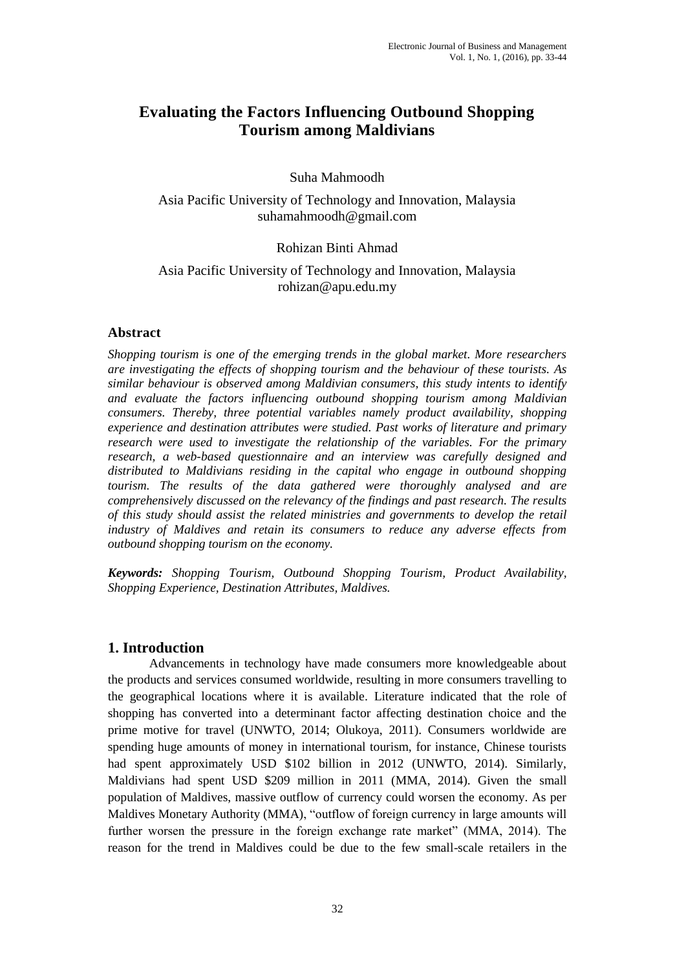# **Evaluating the Factors Influencing Outbound Shopping Tourism among Maldivians**

### Suha Mahmoodh

Asia Pacific University of Technology and Innovation, Malaysia suhamahmoodh@gmail.com

### Rohizan Binti Ahmad

#### Asia Pacific University of Technology and Innovation, Malaysia rohizan@apu.edu.my

### **Abstract**

*Shopping tourism is one of the emerging trends in the global market. More researchers are investigating the effects of shopping tourism and the behaviour of these tourists. As similar behaviour is observed among Maldivian consumers, this study intents to identify and evaluate the factors influencing outbound shopping tourism among Maldivian consumers. Thereby, three potential variables namely product availability, shopping experience and destination attributes were studied. Past works of literature and primary research were used to investigate the relationship of the variables. For the primary research, a web-based questionnaire and an interview was carefully designed and distributed to Maldivians residing in the capital who engage in outbound shopping tourism. The results of the data gathered were thoroughly analysed and are comprehensively discussed on the relevancy of the findings and past research. The results of this study should assist the related ministries and governments to develop the retail industry of Maldives and retain its consumers to reduce any adverse effects from outbound shopping tourism on the economy.* 

*Keywords: Shopping Tourism, Outbound Shopping Tourism, Product Availability, Shopping Experience, Destination Attributes, Maldives.* 

# **1. Introduction**

Advancements in technology have made consumers more knowledgeable about the products and services consumed worldwide, resulting in more consumers travelling to the geographical locations where it is available. Literature indicated that the role of shopping has converted into a determinant factor affecting destination choice and the prime motive for travel (UNWTO, 2014; Olukoya, 2011). Consumers worldwide are spending huge amounts of money in international tourism, for instance, Chinese tourists had spent approximately USD \$102 billion in 2012 (UNWTO, 2014). Similarly, Maldivians had spent USD \$209 million in 2011 (MMA, 2014). Given the small population of Maldives, massive outflow of currency could worsen the economy. As per Maldives Monetary Authority (MMA), "outflow of foreign currency in large amounts will further worsen the pressure in the foreign exchange rate market" (MMA, 2014). The reason for the trend in Maldives could be due to the few small-scale retailers in the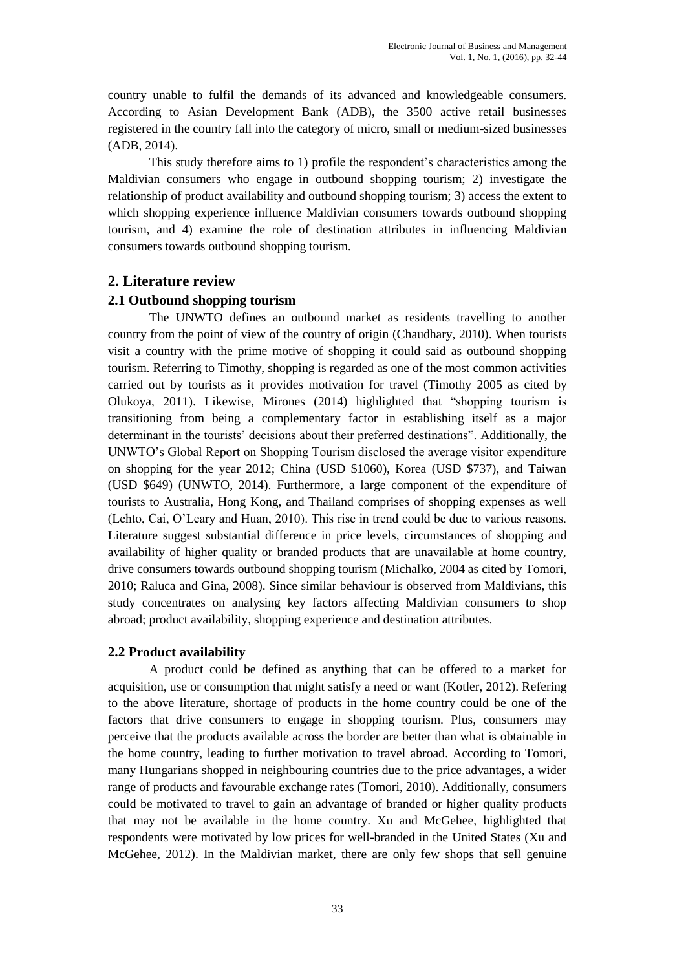country unable to fulfil the demands of its advanced and knowledgeable consumers. According to Asian Development Bank (ADB), the 3500 active retail businesses registered in the country fall into the category of micro, small or medium-sized businesses (ADB, 2014).

This study therefore aims to 1) profile the respondent's characteristics among the Maldivian consumers who engage in outbound shopping tourism; 2) investigate the relationship of product availability and outbound shopping tourism; 3) access the extent to which shopping experience influence Maldivian consumers towards outbound shopping tourism, and 4) examine the role of destination attributes in influencing Maldivian consumers towards outbound shopping tourism.

# **2. Literature review**

# **2.1 Outbound shopping tourism**

The UNWTO defines an outbound market as residents travelling to another country from the point of view of the country of origin (Chaudhary, 2010). When tourists visit a country with the prime motive of shopping it could said as outbound shopping tourism. Referring to Timothy, shopping is regarded as one of the most common activities carried out by tourists as it provides motivation for travel (Timothy 2005 as cited by Olukoya, 2011). Likewise, Mirones (2014) highlighted that "shopping tourism is transitioning from being a complementary factor in establishing itself as a major determinant in the tourists' decisions about their preferred destinations". Additionally, the UNWTO's Global Report on Shopping Tourism disclosed the average visitor expenditure on shopping for the year 2012; China (USD \$1060), Korea (USD \$737), and Taiwan (USD \$649) (UNWTO, 2014). Furthermore, a large component of the expenditure of tourists to Australia, Hong Kong, and Thailand comprises of shopping expenses as well (Lehto, Cai, O'Leary and Huan, 2010). This rise in trend could be due to various reasons. Literature suggest substantial difference in price levels, circumstances of shopping and availability of higher quality or branded products that are unavailable at home country, drive consumers towards outbound shopping tourism (Michalko, 2004 as cited by Tomori, 2010; Raluca and Gina, 2008). Since similar behaviour is observed from Maldivians, this study concentrates on analysing key factors affecting Maldivian consumers to shop abroad; product availability, shopping experience and destination attributes.

# **2.2 Product availability**

A product could be defined as anything that can be offered to a market for acquisition, use or consumption that might satisfy a need or want (Kotler, 2012). Refering to the above literature, shortage of products in the home country could be one of the factors that drive consumers to engage in shopping tourism. Plus, consumers may perceive that the products available across the border are better than what is obtainable in the home country, leading to further motivation to travel abroad. According to Tomori, many Hungarians shopped in neighbouring countries due to the price advantages, a wider range of products and favourable exchange rates (Tomori, 2010). Additionally, consumers could be motivated to travel to gain an advantage of branded or higher quality products that may not be available in the home country. Xu and McGehee, highlighted that respondents were motivated by low prices for well-branded in the United States (Xu and McGehee, 2012). In the Maldivian market, there are only few shops that sell genuine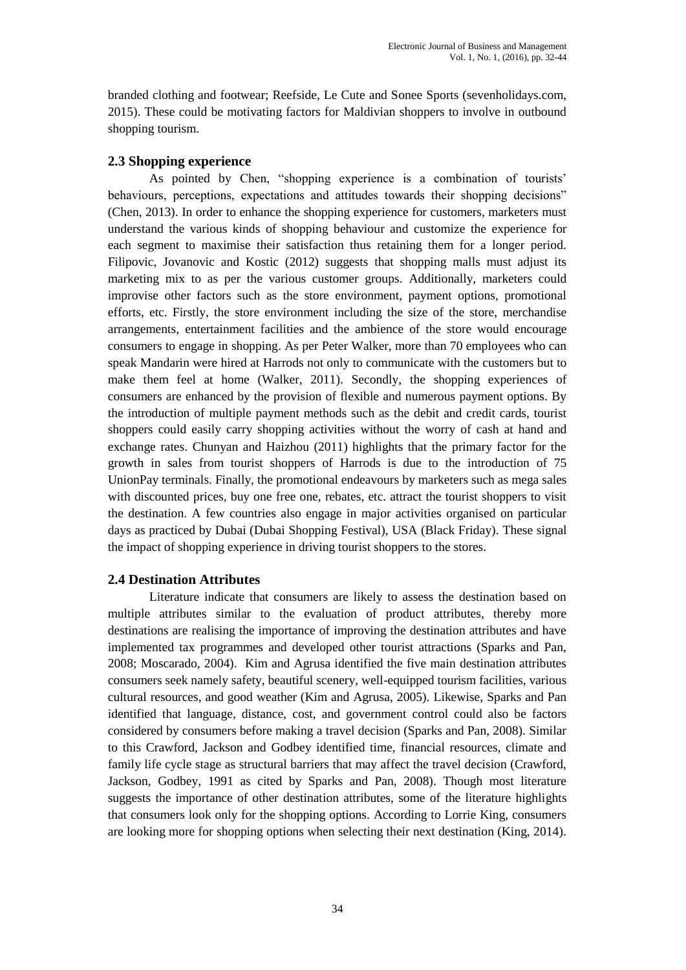branded clothing and footwear; Reefside, Le Cute and Sonee Sports (sevenholidays.com, 2015). These could be motivating factors for Maldivian shoppers to involve in outbound shopping tourism.

### **2.3 Shopping experience**

As pointed by Chen, "shopping experience is a combination of tourists' behaviours, perceptions, expectations and attitudes towards their shopping decisions" (Chen, 2013). In order to enhance the shopping experience for customers, marketers must understand the various kinds of shopping behaviour and customize the experience for each segment to maximise their satisfaction thus retaining them for a longer period. Filipovic, Jovanovic and Kostic (2012) suggests that shopping malls must adjust its marketing mix to as per the various customer groups. Additionally, marketers could improvise other factors such as the store environment, payment options, promotional efforts, etc. Firstly, the store environment including the size of the store, merchandise arrangements, entertainment facilities and the ambience of the store would encourage consumers to engage in shopping. As per Peter Walker, more than 70 employees who can speak Mandarin were hired at Harrods not only to communicate with the customers but to make them feel at home (Walker, 2011). Secondly, the shopping experiences of consumers are enhanced by the provision of flexible and numerous payment options. By the introduction of multiple payment methods such as the debit and credit cards, tourist shoppers could easily carry shopping activities without the worry of cash at hand and exchange rates. Chunyan and Haizhou (2011) highlights that the primary factor for the growth in sales from tourist shoppers of Harrods is due to the introduction of 75 UnionPay terminals. Finally, the promotional endeavours by marketers such as mega sales with discounted prices, buy one free one, rebates, etc. attract the tourist shoppers to visit the destination. A few countries also engage in major activities organised on particular days as practiced by Dubai (Dubai Shopping Festival), USA (Black Friday). These signal the impact of shopping experience in driving tourist shoppers to the stores.

### **2.4 Destination Attributes**

Literature indicate that consumers are likely to assess the destination based on multiple attributes similar to the evaluation of product attributes, thereby more destinations are realising the importance of improving the destination attributes and have implemented tax programmes and developed other tourist attractions (Sparks and Pan, 2008; Moscarado, 2004). Kim and Agrusa identified the five main destination attributes consumers seek namely safety, beautiful scenery, well-equipped tourism facilities, various cultural resources, and good weather (Kim and Agrusa, 2005). Likewise, Sparks and Pan identified that language, distance, cost, and government control could also be factors considered by consumers before making a travel decision (Sparks and Pan, 2008). Similar to this Crawford, Jackson and Godbey identified time, financial resources, climate and family life cycle stage as structural barriers that may affect the travel decision (Crawford, Jackson, Godbey, 1991 as cited by Sparks and Pan, 2008). Though most literature suggests the importance of other destination attributes, some of the literature highlights that consumers look only for the shopping options. According to Lorrie King, consumers are looking more for shopping options when selecting their next destination (King, 2014).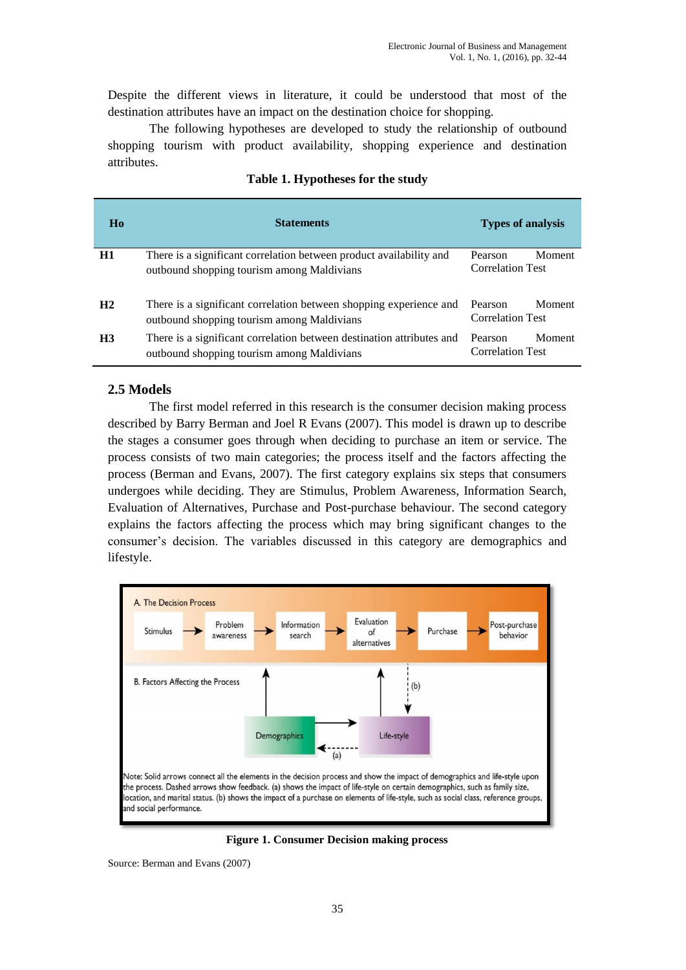Despite the different views in literature, it could be understood that most of the destination attributes have an impact on the destination choice for shopping.

The following hypotheses are developed to study the relationship of outbound shopping tourism with product availability, shopping experience and destination attributes.

| Ho             | <b>Statements</b>                                                                                                   | <b>Types of analysis</b>                     |
|----------------|---------------------------------------------------------------------------------------------------------------------|----------------------------------------------|
| H1             | There is a significant correlation between product availability and<br>outbound shopping tourism among Maldivians   | Moment<br>Pearson<br><b>Correlation Test</b> |
| H <sub>2</sub> | There is a significant correlation between shopping experience and<br>outbound shopping tourism among Maldivians    | Moment<br>Pearson<br><b>Correlation Test</b> |
| H <sub>3</sub> | There is a significant correlation between destination attributes and<br>outbound shopping tourism among Maldivians | Moment<br>Pearson<br><b>Correlation Test</b> |

#### **Table 1. Hypotheses for the study**

### **2.5 Models**

The first model referred in this research is the consumer decision making process described by Barry Berman and Joel R Evans (2007). This model is drawn up to describe the stages a consumer goes through when deciding to purchase an item or service. The process consists of two main categories; the process itself and the factors affecting the process (Berman and Evans, 2007). The first category explains six steps that consumers undergoes while deciding. They are Stimulus, Problem Awareness, Information Search, Evaluation of Alternatives, Purchase and Post-purchase behaviour. The second category explains the factors affecting the process which may bring significant changes to the consumer's decision. The variables discussed in this category are demographics and lifestyle.



**Figure 1. Consumer Decision making process**

Source: Berman and Evans (2007)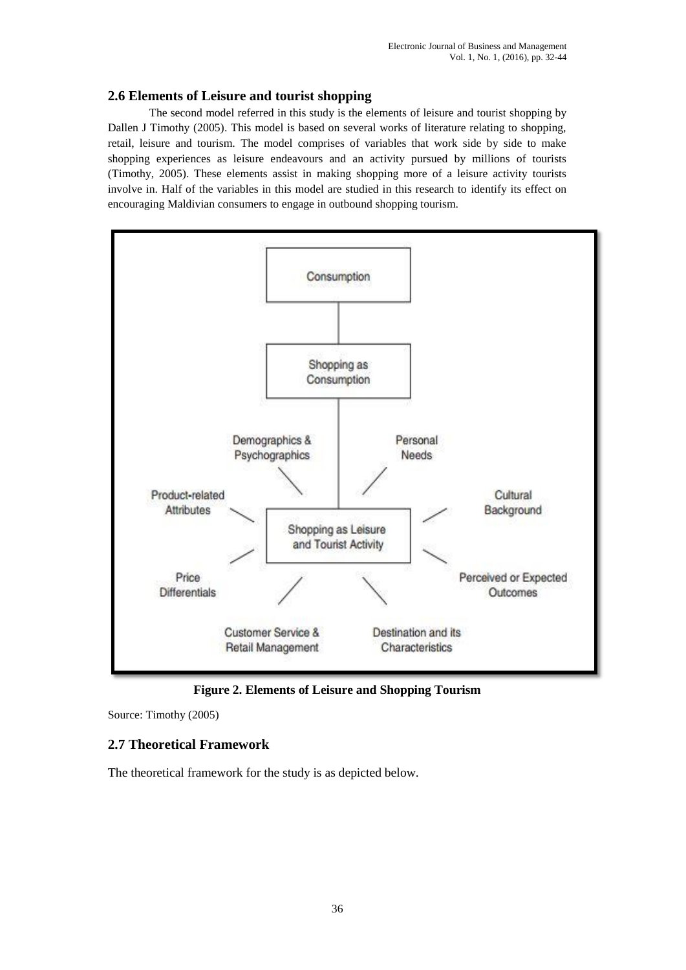#### **2.6 Elements of Leisure and tourist shopping**

The second model referred in this study is the elements of leisure and tourist shopping by Dallen J Timothy (2005). This model is based on several works of literature relating to shopping, retail, leisure and tourism. The model comprises of variables that work side by side to make shopping experiences as leisure endeavours and an activity pursued by millions of tourists (Timothy, 2005). These elements assist in making shopping more of a leisure activity tourists involve in. Half of the variables in this model are studied in this research to identify its effect on encouraging Maldivian consumers to engage in outbound shopping tourism.



**Figure 2. Elements of Leisure and Shopping Tourism**

Source: Timothy (2005)

# **2.7 Theoretical Framework**

The theoretical framework for the study is as depicted below.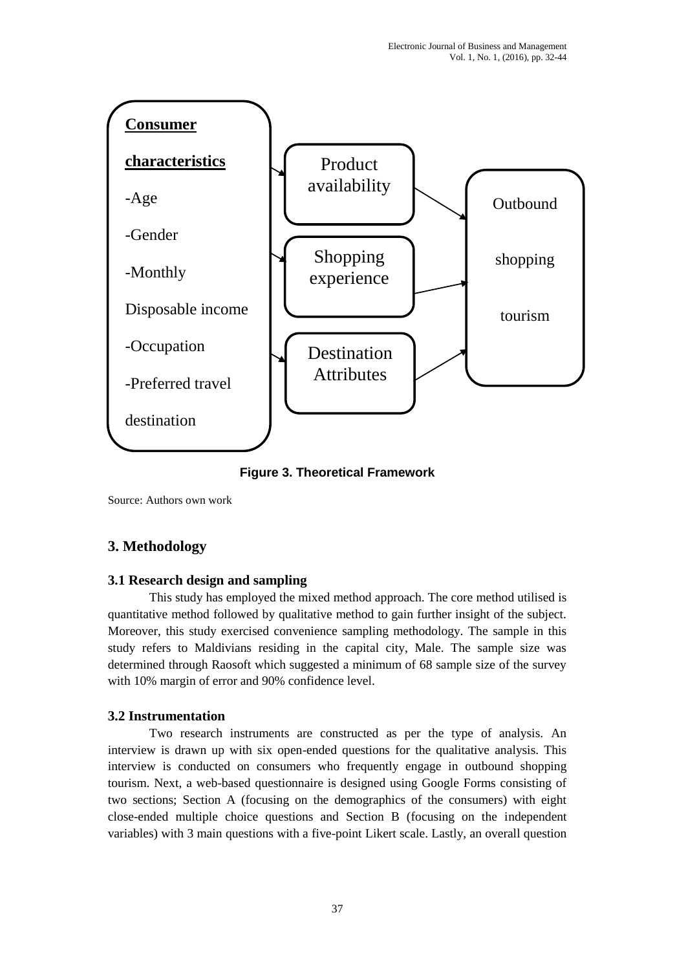

**Figure 3. Theoretical Framework**

Source: Authors own work

# **3. Methodology**

# **3.1 Research design and sampling**

This study has employed the mixed method approach. The core method utilised is quantitative method followed by qualitative method to gain further insight of the subject. Moreover, this study exercised convenience sampling methodology. The sample in this study refers to Maldivians residing in the capital city, Male. The sample size was determined through Raosoft which suggested a minimum of 68 sample size of the survey with 10% margin of error and 90% confidence level.

# **3.2 Instrumentation**

Two research instruments are constructed as per the type of analysis. An interview is drawn up with six open-ended questions for the qualitative analysis. This interview is conducted on consumers who frequently engage in outbound shopping tourism. Next, a web-based questionnaire is designed using Google Forms consisting of two sections; Section A (focusing on the demographics of the consumers) with eight close-ended multiple choice questions and Section B (focusing on the independent variables) with 3 main questions with a five-point Likert scale. Lastly, an overall question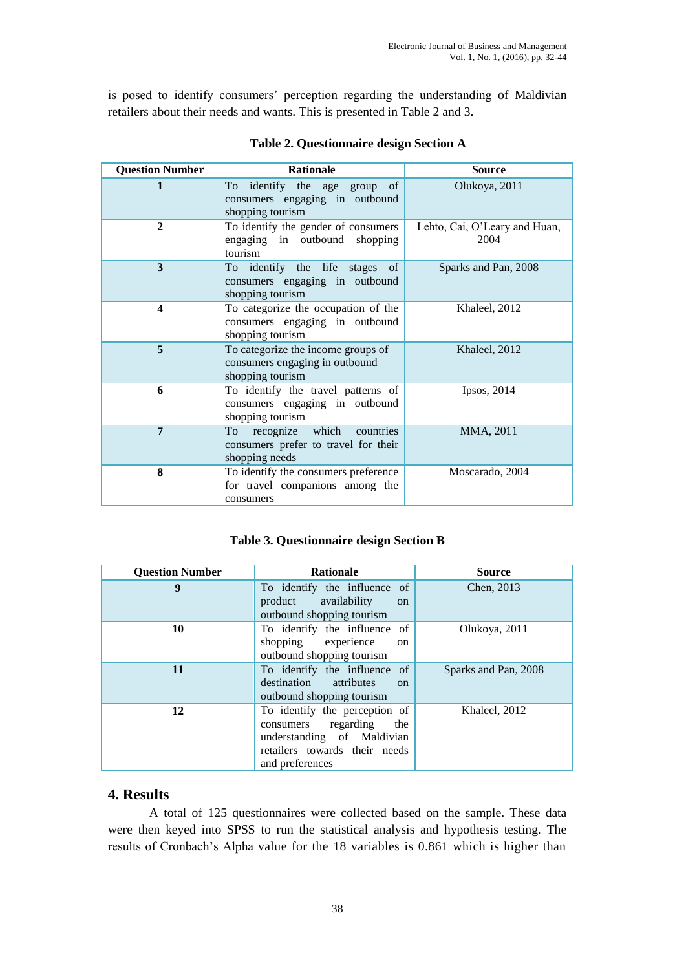is posed to identify consumers' perception regarding the understanding of Maldivian retailers about their needs and wants. This is presented in Table 2 and 3.

| <b>Question Number</b> | <b>Rationale</b>                                                                          | <b>Source</b>                         |  |  |
|------------------------|-------------------------------------------------------------------------------------------|---------------------------------------|--|--|
|                        | To identify the age group of<br>consumers engaging in outbound<br>shopping tourism        | Olukoya, 2011                         |  |  |
| $\mathbf{2}$           | To identify the gender of consumers<br>engaging in outbound shopping<br>tourism           | Lehto, Cai, O'Leary and Huan,<br>2004 |  |  |
| 3                      | To identify the life stages of<br>consumers engaging in outbound<br>shopping tourism      | Sparks and Pan, 2008                  |  |  |
| $\boldsymbol{4}$       | To categorize the occupation of the<br>consumers engaging in outbound<br>shopping tourism | Khaleel, 2012                         |  |  |
| 5                      | To categorize the income groups of<br>consumers engaging in outbound<br>shopping tourism  | Khaleel, 2012                         |  |  |
| 6                      | To identify the travel patterns of<br>consumers engaging in outbound<br>shopping tourism  | Ipsos, 2014                           |  |  |
| $\overline{7}$         | recognize which countries<br>To<br>consumers prefer to travel for their<br>shopping needs | MMA, 2011                             |  |  |
| 8                      | To identify the consumers preference<br>for travel companions among the<br>consumers      | Moscarado, 2004                       |  |  |

#### **Table 2. Questionnaire design Section A**

### **Table 3. Questionnaire design Section B**

| <b>Question Number</b> | <b>Rationale</b>                                                                                                                              | <b>Source</b>        |
|------------------------|-----------------------------------------------------------------------------------------------------------------------------------------------|----------------------|
| 9                      | To identify the influence of<br>availability<br>product<br>$\alpha$<br>outbound shopping tourism                                              | Chen, 2013           |
| 10                     | To identify the influence of<br>shopping experience<br><sub>on</sub><br>outbound shopping tourism                                             | Olukoya, 2011        |
| 11                     | To identify the influence of<br>destination attributes<br>$\alpha$<br>outbound shopping tourism                                               | Sparks and Pan, 2008 |
| 12                     | To identify the perception of<br>consumers regarding<br>the<br>understanding of Maldivian<br>retailers towards their needs<br>and preferences | Khaleel, 2012        |

### **4. Results**

A total of 125 questionnaires were collected based on the sample. These data were then keyed into SPSS to run the statistical analysis and hypothesis testing. The results of Cronbach's Alpha value for the 18 variables is 0.861 which is higher than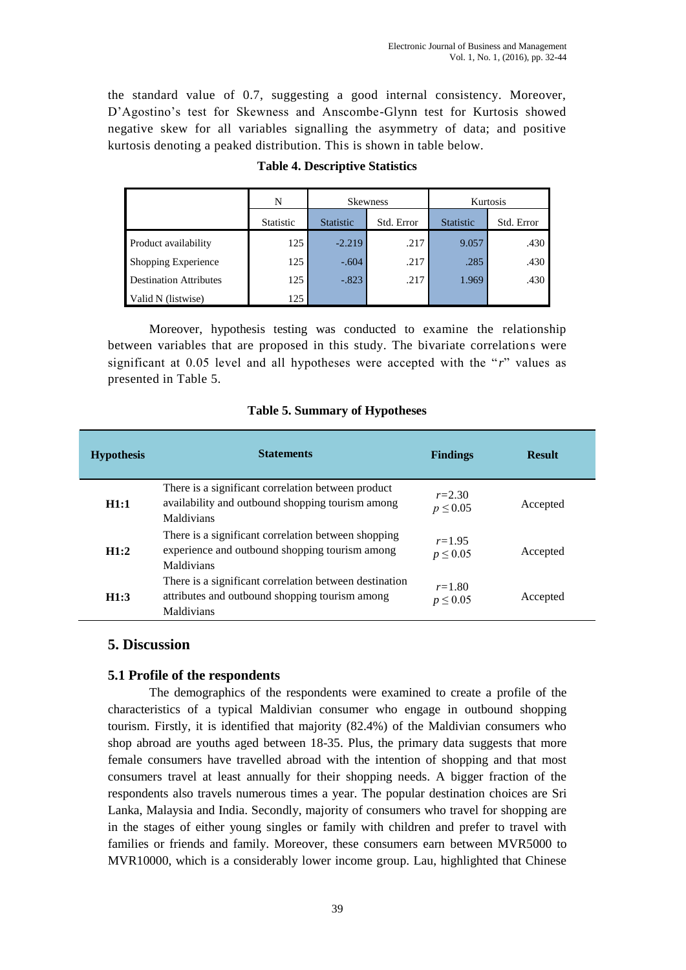the standard value of 0.7, suggesting a good internal consistency. Moreover, D'Agostino's test for Skewness and Anscombe-Glynn test for Kurtosis showed negative skew for all variables signalling the asymmetry of data; and positive kurtosis denoting a peaked distribution. This is shown in table below.

|                               | N                | <b>Skewness</b>  |            | Kurtosis         |            |
|-------------------------------|------------------|------------------|------------|------------------|------------|
|                               | <b>Statistic</b> | <b>Statistic</b> | Std. Error | <b>Statistic</b> | Std. Error |
| Product availability          | 125              | $-2.219$         | .217       | 9.057            | .430       |
| <b>Shopping Experience</b>    | 125              | $-.604$          | .217       | .285             | .430       |
| <b>Destination Attributes</b> | 125              | $-.823$          | .217       | 1.969            | .430       |
| Valid N (listwise)            | 125              |                  |            |                  |            |

### **Table 4. Descriptive Statistics**

Moreover, hypothesis testing was conducted to examine the relationship between variables that are proposed in this study. The bivariate correlations were significant at 0.05 level and all hypotheses were accepted with the "*r*" values as presented in Table 5.

#### **Table 5. Summary of Hypotheses**

| <b>Hypothesis</b> | <b>Statements</b>                                                                                                      | <b>Findings</b>            | <b>Result</b> |
|-------------------|------------------------------------------------------------------------------------------------------------------------|----------------------------|---------------|
| H1:1              | There is a significant correlation between product<br>availability and outbound shopping tourism among<br>Maldivians   | $r = 2.30$<br>$p \le 0.05$ | Accepted      |
| H1:2              | There is a significant correlation between shopping<br>experience and outbound shopping tourism among<br>Maldivians    | $r = 1.95$<br>$p \le 0.05$ | Accepted      |
| H1:3              | There is a significant correlation between destination<br>attributes and outbound shopping tourism among<br>Maldivians | $r = 1.80$<br>$p \le 0.05$ | Accepted      |

### **5. Discussion**

### **5.1 Profile of the respondents**

The demographics of the respondents were examined to create a profile of the characteristics of a typical Maldivian consumer who engage in outbound shopping tourism. Firstly, it is identified that majority (82.4%) of the Maldivian consumers who shop abroad are youths aged between 18-35. Plus, the primary data suggests that more female consumers have travelled abroad with the intention of shopping and that most consumers travel at least annually for their shopping needs. A bigger fraction of the respondents also travels numerous times a year. The popular destination choices are Sri Lanka, Malaysia and India. Secondly, majority of consumers who travel for shopping are in the stages of either young singles or family with children and prefer to travel with families or friends and family. Moreover, these consumers earn between MVR5000 to MVR10000, which is a considerably lower income group. Lau, highlighted that Chinese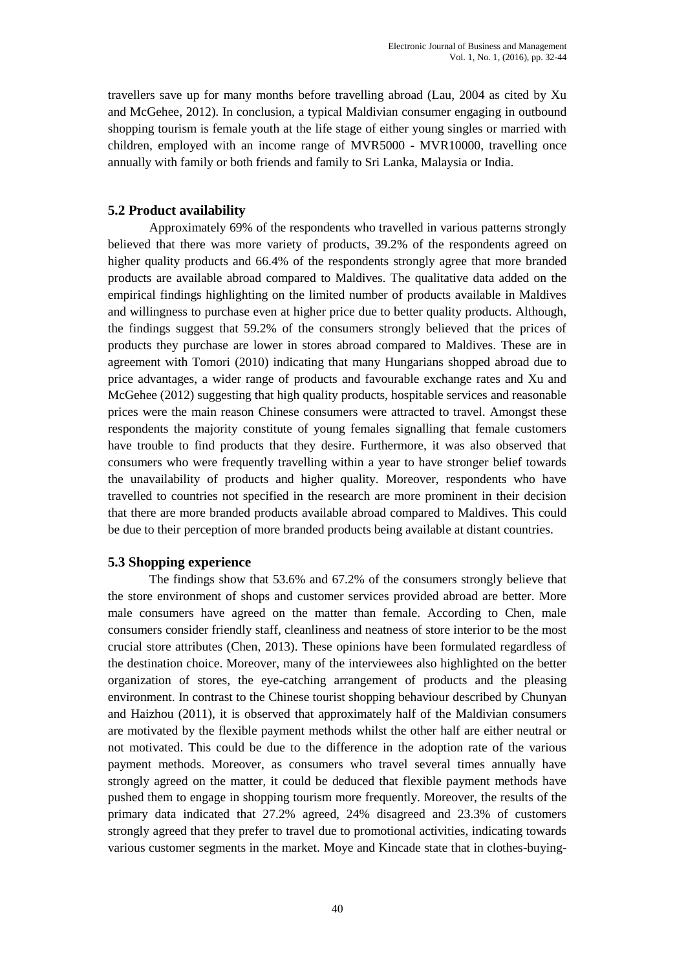travellers save up for many months before travelling abroad (Lau, 2004 as cited by Xu and McGehee, 2012). In conclusion, a typical Maldivian consumer engaging in outbound shopping tourism is female youth at the life stage of either young singles or married with children, employed with an income range of MVR5000 - MVR10000, travelling once annually with family or both friends and family to Sri Lanka, Malaysia or India.

### **5.2 Product availability**

Approximately 69% of the respondents who travelled in various patterns strongly believed that there was more variety of products, 39.2% of the respondents agreed on higher quality products and 66.4% of the respondents strongly agree that more branded products are available abroad compared to Maldives. The qualitative data added on the empirical findings highlighting on the limited number of products available in Maldives and willingness to purchase even at higher price due to better quality products. Although, the findings suggest that 59.2% of the consumers strongly believed that the prices of products they purchase are lower in stores abroad compared to Maldives. These are in agreement with Tomori (2010) indicating that many Hungarians shopped abroad due to price advantages, a wider range of products and favourable exchange rates and Xu and McGehee (2012) suggesting that high quality products, hospitable services and reasonable prices were the main reason Chinese consumers were attracted to travel. Amongst these respondents the majority constitute of young females signalling that female customers have trouble to find products that they desire. Furthermore, it was also observed that consumers who were frequently travelling within a year to have stronger belief towards the unavailability of products and higher quality. Moreover, respondents who have travelled to countries not specified in the research are more prominent in their decision that there are more branded products available abroad compared to Maldives. This could be due to their perception of more branded products being available at distant countries.

### **5.3 Shopping experience**

The findings show that 53.6% and 67.2% of the consumers strongly believe that the store environment of shops and customer services provided abroad are better. More male consumers have agreed on the matter than female. According to Chen, male consumers consider friendly staff, cleanliness and neatness of store interior to be the most crucial store attributes (Chen, 2013). These opinions have been formulated regardless of the destination choice. Moreover, many of the interviewees also highlighted on the better organization of stores, the eye-catching arrangement of products and the pleasing environment. In contrast to the Chinese tourist shopping behaviour described by Chunyan and Haizhou (2011), it is observed that approximately half of the Maldivian consumers are motivated by the flexible payment methods whilst the other half are either neutral or not motivated. This could be due to the difference in the adoption rate of the various payment methods. Moreover, as consumers who travel several times annually have strongly agreed on the matter, it could be deduced that flexible payment methods have pushed them to engage in shopping tourism more frequently. Moreover, the results of the primary data indicated that 27.2% agreed, 24% disagreed and 23.3% of customers strongly agreed that they prefer to travel due to promotional activities, indicating towards various customer segments in the market. Moye and Kincade state that in clothes-buying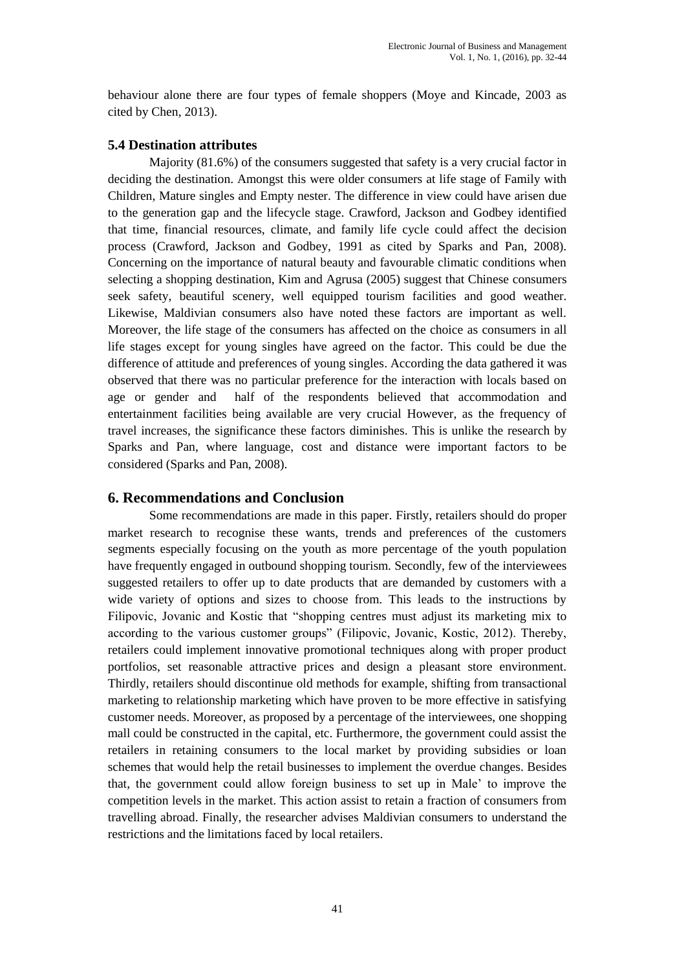behaviour alone there are four types of female shoppers (Moye and Kincade, 2003 as cited by Chen, 2013).

#### **5.4 Destination attributes**

Majority (81.6%) of the consumers suggested that safety is a very crucial factor in deciding the destination. Amongst this were older consumers at life stage of Family with Children, Mature singles and Empty nester. The difference in view could have arisen due to the generation gap and the lifecycle stage. Crawford, Jackson and Godbey identified that time, financial resources, climate, and family life cycle could affect the decision process (Crawford, Jackson and Godbey, 1991 as cited by Sparks and Pan, 2008). Concerning on the importance of natural beauty and favourable climatic conditions when selecting a shopping destination, Kim and Agrusa (2005) suggest that Chinese consumers seek safety, beautiful scenery, well equipped tourism facilities and good weather. Likewise, Maldivian consumers also have noted these factors are important as well. Moreover, the life stage of the consumers has affected on the choice as consumers in all life stages except for young singles have agreed on the factor. This could be due the difference of attitude and preferences of young singles. According the data gathered it was observed that there was no particular preference for the interaction with locals based on age or gender and half of the respondents believed that accommodation and entertainment facilities being available are very crucial However, as the frequency of travel increases, the significance these factors diminishes. This is unlike the research by Sparks and Pan, where language, cost and distance were important factors to be considered (Sparks and Pan, 2008).

### **6. Recommendations and Conclusion**

Some recommendations are made in this paper. Firstly, retailers should do proper market research to recognise these wants, trends and preferences of the customers segments especially focusing on the youth as more percentage of the youth population have frequently engaged in outbound shopping tourism. Secondly, few of the interviewees suggested retailers to offer up to date products that are demanded by customers with a wide variety of options and sizes to choose from. This leads to the instructions by Filipovic, Jovanic and Kostic that "shopping centres must adjust its marketing mix to according to the various customer groups" (Filipovic, Jovanic, Kostic, 2012). Thereby, retailers could implement innovative promotional techniques along with proper product portfolios, set reasonable attractive prices and design a pleasant store environment. Thirdly, retailers should discontinue old methods for example, shifting from transactional marketing to relationship marketing which have proven to be more effective in satisfying customer needs. Moreover, as proposed by a percentage of the interviewees, one shopping mall could be constructed in the capital, etc. Furthermore, the government could assist the retailers in retaining consumers to the local market by providing subsidies or loan schemes that would help the retail businesses to implement the overdue changes. Besides that, the government could allow foreign business to set up in Male' to improve the competition levels in the market. This action assist to retain a fraction of consumers from travelling abroad. Finally, the researcher advises Maldivian consumers to understand the restrictions and the limitations faced by local retailers.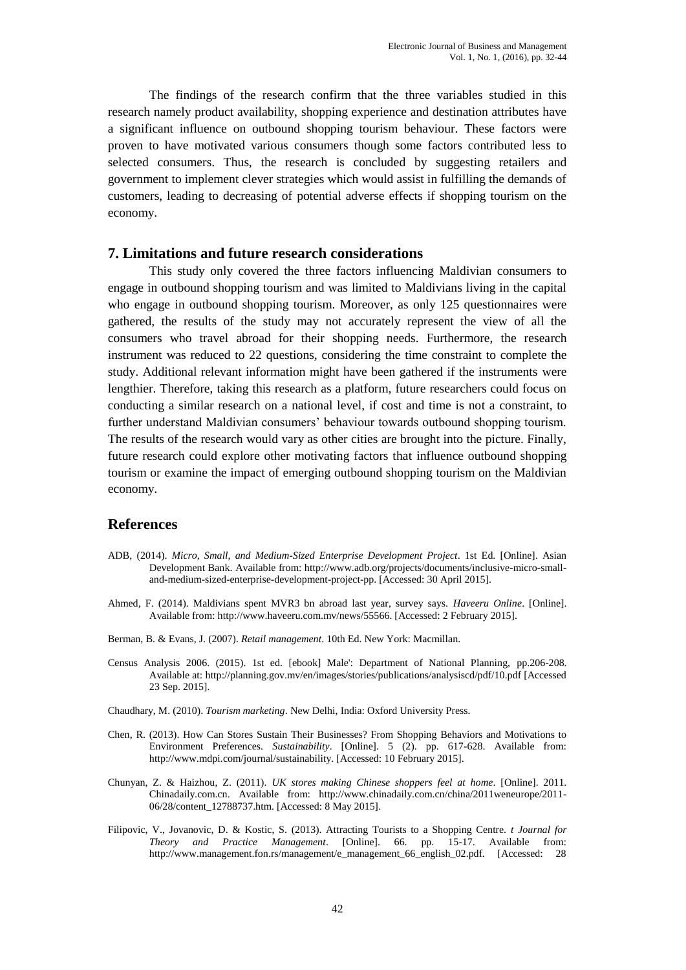The findings of the research confirm that the three variables studied in this research namely product availability, shopping experience and destination attributes have a significant influence on outbound shopping tourism behaviour. These factors were proven to have motivated various consumers though some factors contributed less to selected consumers. Thus, the research is concluded by suggesting retailers and government to implement clever strategies which would assist in fulfilling the demands of customers, leading to decreasing of potential adverse effects if shopping tourism on the economy.

#### **7. Limitations and future research considerations**

This study only covered the three factors influencing Maldivian consumers to engage in outbound shopping tourism and was limited to Maldivians living in the capital who engage in outbound shopping tourism. Moreover, as only 125 questionnaires were gathered, the results of the study may not accurately represent the view of all the consumers who travel abroad for their shopping needs. Furthermore, the research instrument was reduced to 22 questions, considering the time constraint to complete the study. Additional relevant information might have been gathered if the instruments were lengthier. Therefore, taking this research as a platform, future researchers could focus on conducting a similar research on a national level, if cost and time is not a constraint, to further understand Maldivian consumers' behaviour towards outbound shopping tourism. The results of the research would vary as other cities are brought into the picture. Finally, future research could explore other motivating factors that influence outbound shopping tourism or examine the impact of emerging outbound shopping tourism on the Maldivian economy.

### **References**

- ADB, (2014). *Micro, Small, and Medium-Sized Enterprise Development Project*. 1st Ed. [Online]. Asian Development Bank. Available from: http://www.adb.org/projects/documents/inclusive-micro-smalland-medium-sized-enterprise-development-project-pp. [Accessed: 30 April 2015].
- Ahmed, F. (2014). Maldivians spent MVR3 bn abroad last year, survey says. *Haveeru Online*. [Online]. Available from: http://www.haveeru.com.mv/news/55566. [Accessed: 2 February 2015].
- Berman, B. & Evans, J. (2007). *Retail management*. 10th Ed. New York: Macmillan.
- Census Analysis 2006. (2015). 1st ed. [ebook] Male': Department of National Planning, pp.206-208. Available at: http://planning.gov.mv/en/images/stories/publications/analysiscd/pdf/10.pdf [Accessed 23 Sep. 2015].
- Chaudhary, M. (2010). *Tourism marketing*. New Delhi, India: Oxford University Press.
- Chen, R. (2013). How Can Stores Sustain Their Businesses? From Shopping Behaviors and Motivations to Environment Preferences. *Sustainability*. [Online]. 5 (2). pp. 617-628. Available from: http://www.mdpi.com/journal/sustainability. [Accessed: 10 February 2015].
- Chunyan, Z. & Haizhou, Z. (2011). *UK stores making Chinese shoppers feel at home*. [Online]. 2011. Chinadaily.com.cn. Available from: http://www.chinadaily.com.cn/china/2011weneurope/2011- 06/28/content\_12788737.htm. [Accessed: 8 May 2015].
- Filipovic, V., Jovanovic, D. & Kostic, S. (2013). Attracting Tourists to a Shopping Centre. *t Journal for Theory and Practice Management*. [Online]. 66. pp. 15-17. Available from: http://www.management.fon.rs/management/e\_management\_66\_english\_02.pdf. [Accessed: 28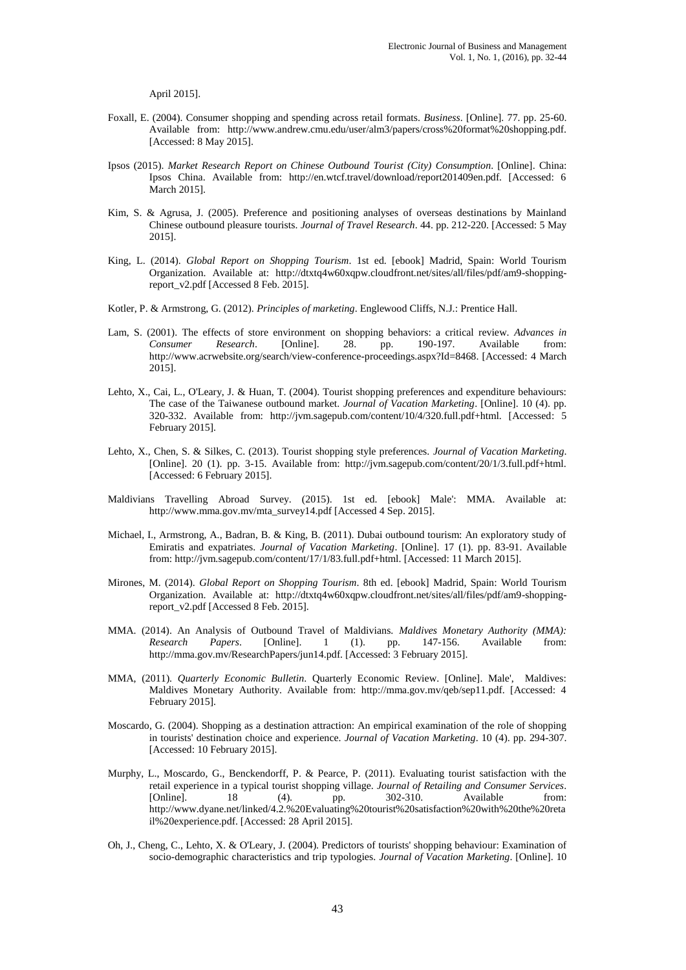April 2015].

- Foxall, E. (2004). Consumer shopping and spending across retail formats. *Business*. [Online]. 77. pp. 25-60. Available from: http://www.andrew.cmu.edu/user/alm3/papers/cross%20format%20shopping.pdf. [Accessed: 8 May 2015].
- Ipsos (2015). *Market Research Report on Chinese Outbound Tourist (City) Consumption*. [Online]. China: Ipsos China. Available from: http://en.wtcf.travel/download/report201409en.pdf. [Accessed: 6 March 2015].
- Kim, S. & Agrusa, J. (2005). Preference and positioning analyses of overseas destinations by Mainland Chinese outbound pleasure tourists. *Journal of Travel Research*. 44. pp. 212-220. [Accessed: 5 May 2015].
- King, L. (2014). *Global Report on Shopping Tourism*. 1st ed. [ebook] Madrid, Spain: World Tourism Organization. Available at: http://dtxtq4w60xqpw.cloudfront.net/sites/all/files/pdf/am9-shoppingreport\_v2.pdf [Accessed 8 Feb. 2015].
- Kotler, P. & Armstrong, G. (2012). *Principles of marketing*. Englewood Cliffs, N.J.: Prentice Hall.
- Lam, S. (2001). The effects of store environment on shopping behaviors: a critical review. *Advances in Consumer Research*. [Online]. 28. pp. 190-197. Available from: http://www.acrwebsite.org/search/view-conference-proceedings.aspx?Id=8468. [Accessed: 4 March 2015].
- Lehto, X., Cai, L., O'Leary, J. & Huan, T. (2004). Tourist shopping preferences and expenditure behaviours: The case of the Taiwanese outbound market. *Journal of Vacation Marketing*. [Online]. 10 (4). pp. 320-332. Available from: http://jvm.sagepub.com/content/10/4/320.full.pdf+html. [Accessed: 5 February 2015].
- Lehto, X., Chen, S. & Silkes, C. (2013). Tourist shopping style preferences. *Journal of Vacation Marketing*. [Online]. 20 (1). pp. 3-15. Available from: http://jvm.sagepub.com/content/20/1/3.full.pdf+html. [Accessed: 6 February 2015].
- Maldivians Travelling Abroad Survey. (2015). 1st ed. [ebook] Male': MMA. Available at: http://www.mma.gov.mv/mta\_survey14.pdf [Accessed 4 Sep. 2015].
- Michael, I., Armstrong, A., Badran, B. & King, B. (2011). Dubai outbound tourism: An exploratory study of Emiratis and expatriates. *Journal of Vacation Marketing*. [Online]. 17 (1). pp. 83-91. Available from: http://jvm.sagepub.com/content/17/1/83.full.pdf+html. [Accessed: 11 March 2015].
- Mirones, M. (2014). *Global Report on Shopping Tourism*. 8th ed. [ebook] Madrid, Spain: World Tourism Organization. Available at: http://dtxtq4w60xqpw.cloudfront.net/sites/all/files/pdf/am9-shoppingreport\_v2.pdf [Accessed 8 Feb. 2015].
- MMA. (2014). An Analysis of Outbound Travel of Maldivians. *Maldives Monetary Authority (MMA): Research Papers*. [Online]. 1 (1). pp. 147-156. Available from: http://mma.gov.mv/ResearchPapers/jun14.pdf. [Accessed: 3 February 2015].
- MMA, (2011). *Quarterly Economic Bulletin*. Quarterly Economic Review. [Online]. Male', Maldives: Maldives Monetary Authority. Available from: http://mma.gov.mv/qeb/sep11.pdf. [Accessed: 4 February 2015].
- Moscardo, G. (2004). Shopping as a destination attraction: An empirical examination of the role of shopping in tourists' destination choice and experience. *Journal of Vacation Marketing*. 10 (4). pp. 294-307. [Accessed: 10 February 2015].
- Murphy, L., Moscardo, G., Benckendorff, P. & Pearce, P. (2011). Evaluating tourist satisfaction with the retail experience in a typical tourist shopping village. *Journal of Retailing and Consumer Services*. [Online]. 18 (4). pp. 302-310. Available from: http://www.dyane.net/linked/4.2.%20Evaluating%20tourist%20satisfaction%20with%20the%20reta il%20experience.pdf. [Accessed: 28 April 2015].
- Oh, J., Cheng, C., Lehto, X. & O'Leary, J. (2004). Predictors of tourists' shopping behaviour: Examination of socio-demographic characteristics and trip typologies. *Journal of Vacation Marketing*. [Online]. 10